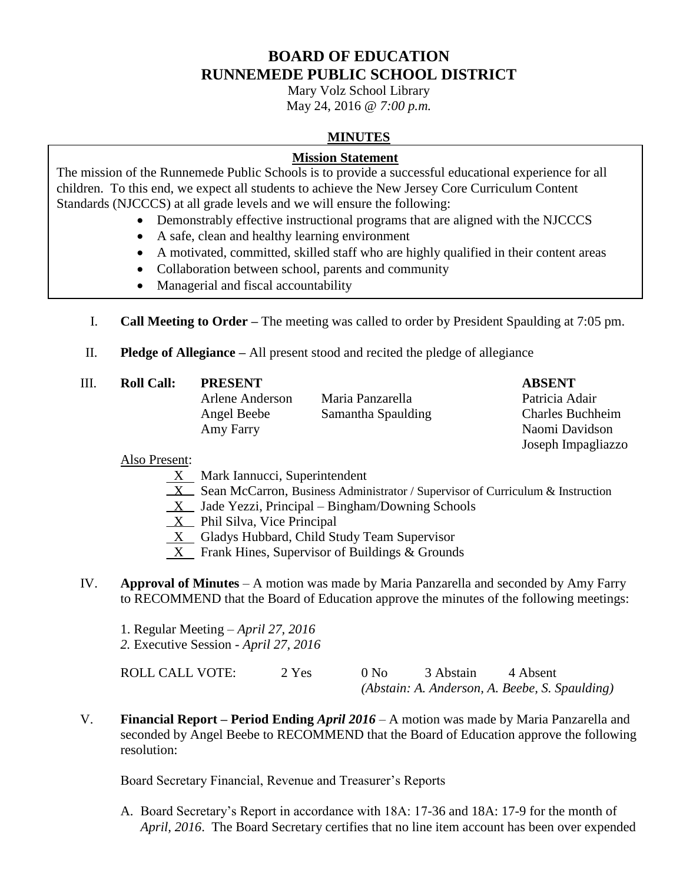# **BOARD OF EDUCATION RUNNEMEDE PUBLIC SCHOOL DISTRICT**

Mary Volz School Library May 24, 2016 @ *7:00 p.m.*

### **MINUTES**

### **Mission Statement**

The mission of the Runnemede Public Schools is to provide a successful educational experience for all children. To this end, we expect all students to achieve the New Jersey Core Curriculum Content Standards (NJCCCS) at all grade levels and we will ensure the following:

- Demonstrably effective instructional programs that are aligned with the NJCCCS
- A safe, clean and healthy learning environment
- A motivated, committed, skilled staff who are highly qualified in their content areas
- Collaboration between school, parents and community
- Managerial and fiscal accountability
- I. **Call Meeting to Order –** The meeting was called to order by President Spaulding at 7:05 pm.
- II. **Pledge of Allegiance –** All present stood and recited the pledge of allegiance
- III. **Roll Call: PRESENT ABSENT**
	-

Arlene Anderson Maria Panzarella Patricia Adair Angel Beebe Samantha Spaulding Charles Buchheim Amy Farry Naomi Davidson

Joseph Impagliazzo

### Also Present:

- $X$  Mark Iannucci, Superintendent
- $X$  Sean McCarron, Business Administrator / Supervisor of Curriculum & Instruction
- $X$  Jade Yezzi, Principal Bingham/Downing Schools
- $X$  Phil Silva, Vice Principal
- X Gladys Hubbard, Child Study Team Supervisor
- $X$  Frank Hines, Supervisor of Buildings & Grounds
- IV. **Approval of Minutes**  A motion was made by Maria Panzarella and seconded by Amy Farry to RECOMMEND that the Board of Education approve the minutes of the following meetings:
	- 1. Regular Meeting *April 27, 2016*
	- *2.* Executive Session *April 27, 2016*

| <b>ROLL CALL VOTE:</b> | 2 Yes | 0 N <sub>0</sub> | 3 Abstain | 4 Absent                                       |
|------------------------|-------|------------------|-----------|------------------------------------------------|
|                        |       |                  |           | (Abstain: A. Anderson, A. Beebe, S. Spaulding) |

V. **Financial Report – Period Ending** *April 2016* – A motion was made by Maria Panzarella and seconded by Angel Beebe to RECOMMEND that the Board of Education approve the following resolution:

Board Secretary Financial, Revenue and Treasurer's Reports

A. Board Secretary's Report in accordance with 18A: 17-36 and 18A: 17-9 for the month of *April, 2016*. The Board Secretary certifies that no line item account has been over expended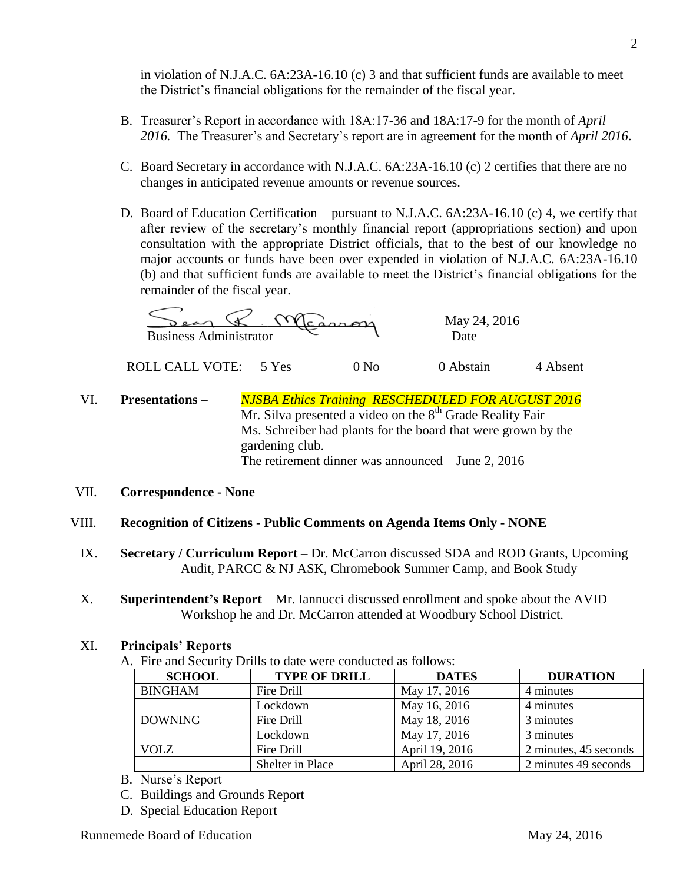in violation of N.J.A.C. 6A:23A-16.10 (c) 3 and that sufficient funds are available to meet the District's financial obligations for the remainder of the fiscal year.

- B. Treasurer's Report in accordance with 18A:17-36 and 18A:17-9 for the month of *April 2016.* The Treasurer's and Secretary's report are in agreement for the month of *April 2016*.
- C. Board Secretary in accordance with N.J.A.C. 6A:23A-16.10 (c) 2 certifies that there are no changes in anticipated revenue amounts or revenue sources.
- D. Board of Education Certification pursuant to N.J.A.C. 6A:23A-16.10 (c) 4, we certify that after review of the secretary's monthly financial report (appropriations section) and upon consultation with the appropriate District officials, that to the best of our knowledge no major accounts or funds have been over expended in violation of N.J.A.C. 6A:23A-16.10 (b) and that sufficient funds are available to meet the District's financial obligations for the remainder of the fiscal year.

 \_\_\_\_\_\_\_\_\_\_\_\_\_\_\_\_\_\_\_\_\_\_\_\_\_\_\_\_\_\_\_\_\_\_ May 24, 2016 Business Administrator  $\overline{C}$   $\overline{D}$  Date

ROLL CALL VOTE: 5 Yes 0 No 0 Abstain 4 Absent

VI. **Presentations –** *NJSBA Ethics Training RESCHEDULED FOR AUGUST 2016* Mr. Silva presented a video on the  $8<sup>th</sup>$  Grade Reality Fair Ms. Schreiber had plants for the board that were grown by the gardening club. The retirement dinner was announced – June 2, 2016

### VII. **Correspondence - None**

### VIII. **Recognition of Citizens - Public Comments on Agenda Items Only - NONE**

- IX. **Secretary / Curriculum Report** *–* Dr. McCarron discussed SDA and ROD Grants, Upcoming Audit, PARCC & NJ ASK, Chromebook Summer Camp, and Book Study
- X. **Superintendent's Report** Mr. Iannucci discussed enrollment and spoke about the AVID Workshop he and Dr. McCarron attended at Woodbury School District.

#### XI. **Principals' Reports**

A. Fire and Security Drills to date were conducted as follows:

| <b>SCHOOL</b>  | <b>TYPE OF DRILL</b> | <b>DATES</b>   | <b>DURATION</b>       |
|----------------|----------------------|----------------|-----------------------|
| <b>BINGHAM</b> | Fire Drill           | May 17, 2016   | 4 minutes             |
|                | Lockdown             | May 16, 2016   | 4 minutes             |
| <b>DOWNING</b> | Fire Drill           | May 18, 2016   | 3 minutes             |
|                | Lockdown             | May 17, 2016   | 3 minutes             |
| <b>VOLZ</b>    | Fire Drill           | April 19, 2016 | 2 minutes, 45 seconds |
|                | Shelter in Place     | April 28, 2016 | 2 minutes 49 seconds  |

- B. Nurse's Report
- C. Buildings and Grounds Report
- D. Special Education Report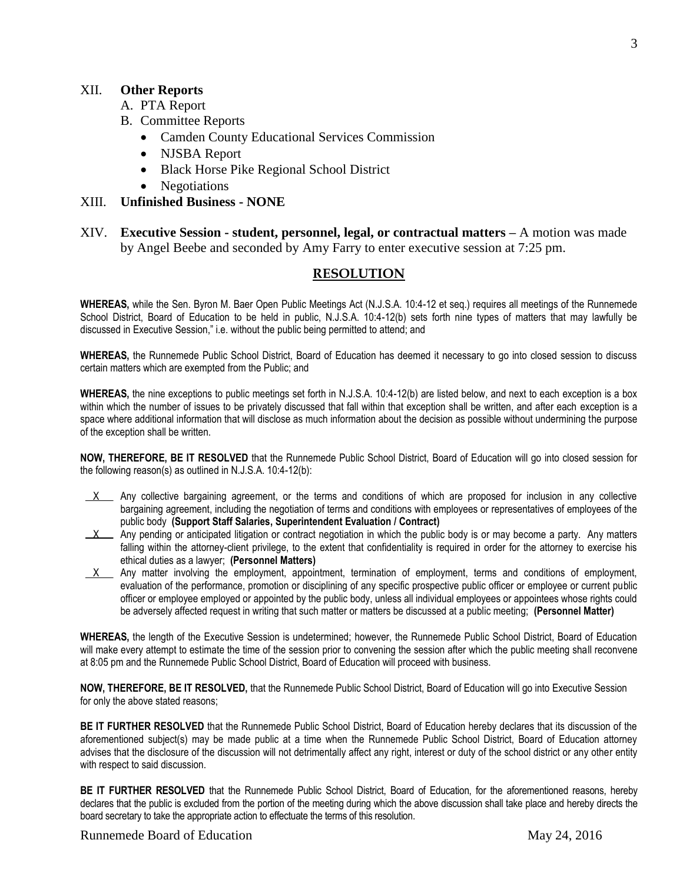#### XII. **Other Reports**

- A. PTA Report
- B. Committee Reports
	- Camden County Educational Services Commission
	- NJSBA Report
	- Black Horse Pike Regional School District
	- Negotiations

#### XIII. **Unfinished Business - NONE**

XIV. **Executive Session - student, personnel, legal, or contractual matters –** A motion was made by Angel Beebe and seconded by Amy Farry to enter executive session at 7:25 pm.

#### **RESOLUTION**

**WHEREAS,** while the Sen. Byron M. Baer Open Public Meetings Act (N.J.S.A. 10:4-12 et seq.) requires all meetings of the Runnemede School District, Board of Education to be held in public, N.J.S.A. 10:4-12(b) sets forth nine types of matters that may lawfully be discussed in Executive Session," i.e. without the public being permitted to attend; and

**WHEREAS,** the Runnemede Public School District, Board of Education has deemed it necessary to go into closed session to discuss certain matters which are exempted from the Public; and

**WHEREAS,** the nine exceptions to public meetings set forth in N.J.S.A. 10:4-12(b) are listed below, and next to each exception is a box within which the number of issues to be privately discussed that fall within that exception shall be written, and after each exception is a space where additional information that will disclose as much information about the decision as possible without undermining the purpose of the exception shall be written.

**NOW, THEREFORE, BE IT RESOLVED** that the Runnemede Public School District, Board of Education will go into closed session for the following reason(s) as outlined in N.J.S.A. 10:4-12(b):

- $X$  Any collective bargaining agreement, or the terms and conditions of which are proposed for inclusion in any collective bargaining agreement, including the negotiation of terms and conditions with employees or representatives of employees of the public body **(Support Staff Salaries, Superintendent Evaluation / Contract)**
- $X$  Any pending or anticipated litigation or contract negotiation in which the public body is or may become a party. Any matters falling within the attorney-client privilege, to the extent that confidentiality is required in order for the attorney to exercise his ethical duties as a lawyer; **(Personnel Matters)**
- $X$  Any matter involving the employment, appointment, termination of employment, terms and conditions of employment, evaluation of the performance, promotion or disciplining of any specific prospective public officer or employee or current public officer or employee employed or appointed by the public body, unless all individual employees or appointees whose rights could be adversely affected request in writing that such matter or matters be discussed at a public meeting; **(Personnel Matter)**

**WHEREAS,** the length of the Executive Session is undetermined; however, the Runnemede Public School District, Board of Education will make every attempt to estimate the time of the session prior to convening the session after which the public meeting shall reconvene at 8:05 pm and the Runnemede Public School District, Board of Education will proceed with business.

**NOW, THEREFORE, BE IT RESOLVED,** that the Runnemede Public School District, Board of Education will go into Executive Session for only the above stated reasons;

**BE IT FURTHER RESOLVED** that the Runnemede Public School District, Board of Education hereby declares that its discussion of the aforementioned subject(s) may be made public at a time when the Runnemede Public School District, Board of Education attorney advises that the disclosure of the discussion will not detrimentally affect any right, interest or duty of the school district or any other entity with respect to said discussion.

**BE IT FURTHER RESOLVED** that the Runnemede Public School District, Board of Education, for the aforementioned reasons, hereby declares that the public is excluded from the portion of the meeting during which the above discussion shall take place and hereby directs the board secretary to take the appropriate action to effectuate the terms of this resolution.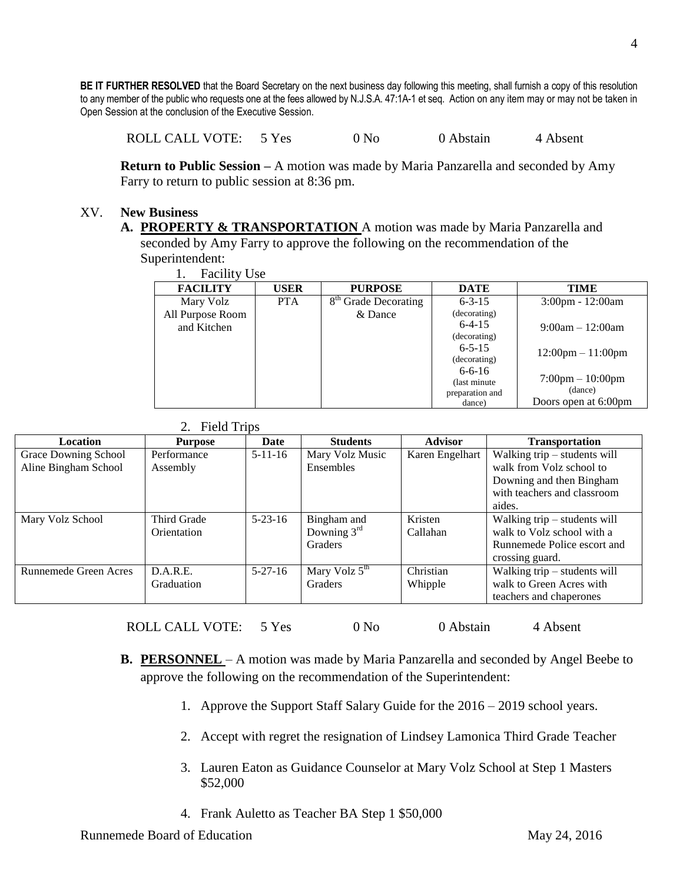**BE IT FURTHER RESOLVED** that the Board Secretary on the next business day following this meeting, shall furnish a copy of this resolution to any member of the public who requests one at the fees allowed by N.J.S.A. 47:1A-1 et seq. Action on any item may or may not be taken in Open Session at the conclusion of the Executive Session.

ROLL CALL VOTE: 5 Yes 0 No 0 Abstain 4 Absent

**Return to Public Session –** A motion was made by Maria Panzarella and seconded by Amy Farry to return to public session at 8:36 pm.

#### XV. **New Business**

**A. PROPERTY & TRANSPORTATION** A motion was made by Maria Panzarella and seconded by Amy Farry to approve the following on the recommendation of the Superintendent:

| <b>Facility Use</b> |  |
|---------------------|--|
|                     |  |

| . .<br><b>L</b> actric of OSC |             |                                  |                 |                                     |
|-------------------------------|-------------|----------------------------------|-----------------|-------------------------------------|
| <b>FACILITY</b>               | <b>USER</b> | <b>PURPOSE</b>                   | <b>DATE</b>     | <b>TIME</b>                         |
| Mary Volz                     | <b>PTA</b>  | 8 <sup>th</sup> Grade Decorating | $6 - 3 - 15$    | $3:00 \text{pm} - 12:00 \text{am}$  |
| All Purpose Room              |             | & Dance                          | (decorating)    |                                     |
| and Kitchen                   |             |                                  | $6-4-15$        | $9:00am - 12:00am$                  |
|                               |             |                                  | (decorating)    |                                     |
|                               |             |                                  | $6 - 5 - 15$    | $12:00 \text{pm} - 11:00 \text{pm}$ |
|                               |             |                                  | (decorating)    |                                     |
|                               |             |                                  | $6 - 6 - 16$    |                                     |
|                               |             |                                  | (last minute)   | $7:00 \text{pm} - 10:00 \text{pm}$  |
|                               |             |                                  | preparation and | (dance)                             |
|                               |             |                                  | dance)          | Doors open at 6:00pm                |

| <b>Field Trips</b> |  |
|--------------------|--|
|                    |  |

| Location              | <b>Purpose</b> | Date          | <b>Students</b>           | <b>Advisor</b>  | <b>Transportation</b>          |
|-----------------------|----------------|---------------|---------------------------|-----------------|--------------------------------|
| Grace Downing School  | Performance    | $5-11-16$     | Mary Volz Music           | Karen Engelhart | Walking trip – students will   |
| Aline Bingham School  | Assembly       |               | Ensembles                 |                 | walk from Volz school to       |
|                       |                |               |                           |                 | Downing and then Bingham       |
|                       |                |               |                           |                 | with teachers and classroom    |
|                       |                |               |                           |                 | aides.                         |
| Mary Volz School      | Third Grade    | $5 - 23 - 16$ | Bingham and               | Kristen         | Walking trip $-$ students will |
|                       | Orientation    |               | Downing $3rd$             | Callahan        | walk to Volz school with a     |
|                       |                |               | <b>Graders</b>            |                 | Runnemede Police escort and    |
|                       |                |               |                           |                 | crossing guard.                |
| Runnemede Green Acres | D.A.R.E.       | $5 - 27 - 16$ | Mary Volz $5^{\text{th}}$ | Christian       | Walking trip - students will   |
|                       | Graduation     |               | Graders                   | Whipple         | walk to Green Acres with       |
|                       |                |               |                           |                 | teachers and chaperones        |

ROLL CALL VOTE: 5 Yes 0 No 0 Abstain 4 Absent

- **B. PERSONNEL** A motion was made by Maria Panzarella and seconded by Angel Beebe to approve the following on the recommendation of the Superintendent:
	- 1. Approve the Support Staff Salary Guide for the 2016 2019 school years.
	- 2. Accept with regret the resignation of Lindsey Lamonica Third Grade Teacher
	- 3. Lauren Eaton as Guidance Counselor at Mary Volz School at Step 1 Masters \$52,000
	- 4. Frank Auletto as Teacher BA Step 1 \$50,000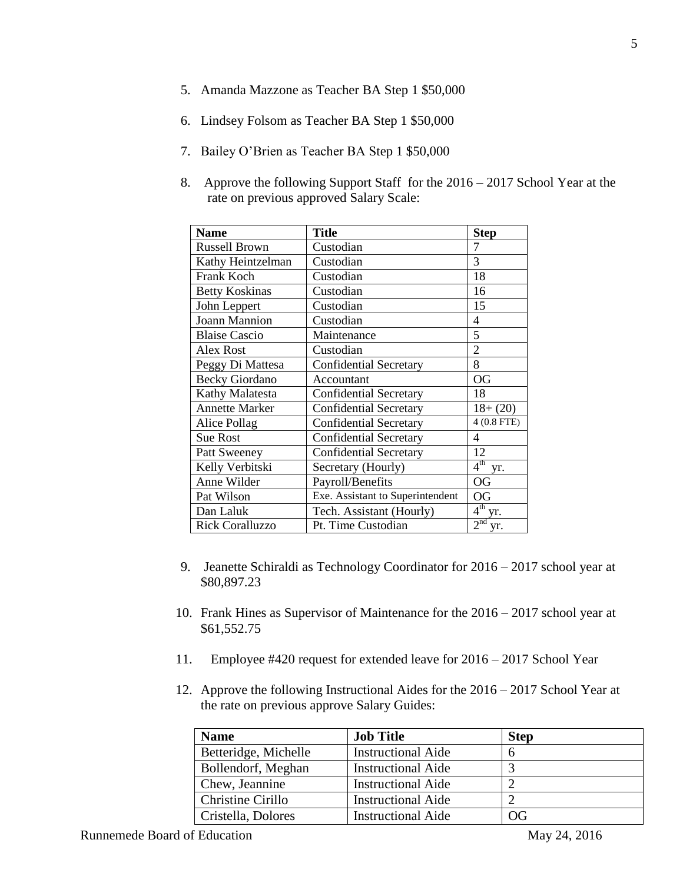- 5. Amanda Mazzone as Teacher BA Step 1 \$50,000
- 6. Lindsey Folsom as Teacher BA Step 1 \$50,000
- 7. Bailey O'Brien as Teacher BA Step 1 \$50,000
- 8. Approve the following Support Staff for the 2016 2017 School Year at the rate on previous approved Salary Scale:

| <b>Name</b>            | Title                            | <b>Step</b>            |
|------------------------|----------------------------------|------------------------|
| Russell Brown          | Custodian                        | 7                      |
| Kathy Heintzelman      | Custodian                        | 3                      |
| Frank Koch             | Custodian                        | 18                     |
| <b>Betty Koskinas</b>  | Custodian                        | 16                     |
| John Leppert           | Custodian                        | 15                     |
| <b>Joann Mannion</b>   | Custodian                        | 4                      |
| <b>Blaise Cascio</b>   | Maintenance                      | 5                      |
| <b>Alex Rost</b>       | Custodian                        | 2                      |
| Peggy Di Mattesa       | <b>Confidential Secretary</b>    | 8                      |
| <b>Becky Giordano</b>  | Accountant                       | <b>OG</b>              |
| Kathy Malatesta        | <b>Confidential Secretary</b>    | 18                     |
| <b>Annette Marker</b>  | <b>Confidential Secretary</b>    | $18+(20)$              |
| Alice Pollag           | <b>Confidential Secretary</b>    | 4 (0.8 FTE)            |
| <b>Sue Rost</b>        | <b>Confidential Secretary</b>    | 4                      |
| Patt Sweeney           | <b>Confidential Secretary</b>    | 12                     |
| Kelly Verbitski        | Secretary (Hourly)               | $4^{\text{th}}$<br>yr. |
| Anne Wilder            | Payroll/Benefits                 | <b>OG</b>              |
| Pat Wilson             | Exe. Assistant to Superintendent | OG                     |
| Dan Laluk              | Tech. Assistant (Hourly)         | $4^{th}$ yr.           |
| <b>Rick Coralluzzo</b> | Pt. Time Custodian               | 2 <sup>nd</sup><br>yr. |

- 9. Jeanette Schiraldi as Technology Coordinator for 2016 2017 school year at \$80,897.23
- 10. Frank Hines as Supervisor of Maintenance for the 2016 2017 school year at \$61,552.75
- 11. Employee #420 request for extended leave for 2016 2017 School Year
- 12. Approve the following Instructional Aides for the 2016 2017 School Year at the rate on previous approve Salary Guides:

| <b>Name</b>          | <b>Job Title</b>          | <b>Step</b> |
|----------------------|---------------------------|-------------|
| Betteridge, Michelle | <b>Instructional Aide</b> |             |
| Bollendorf, Meghan   | <b>Instructional Aide</b> |             |
| Chew, Jeannine       | <b>Instructional Aide</b> |             |
| Christine Cirillo    | <b>Instructional Aide</b> |             |
| Cristella, Dolores   | <b>Instructional Aide</b> | OG          |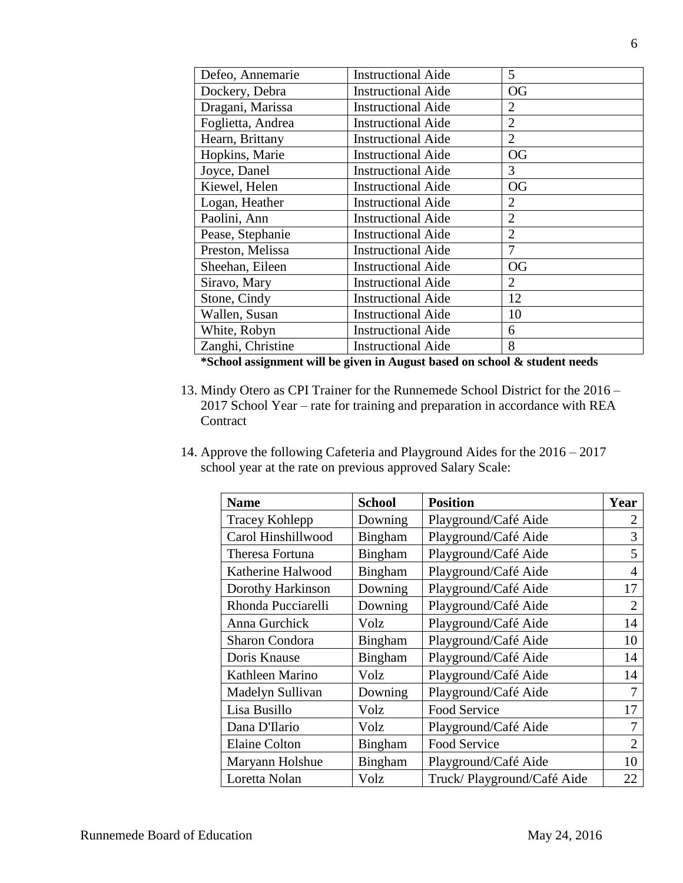| Defeo, Annemarie  | <b>Instructional Aide</b> | 5              |
|-------------------|---------------------------|----------------|
| Dockery, Debra    | <b>Instructional Aide</b> | <b>OG</b>      |
| Dragani, Marissa  | <b>Instructional Aide</b> | $\overline{2}$ |
| Foglietta, Andrea | <b>Instructional Aide</b> | $\overline{2}$ |
| Hearn, Brittany   | <b>Instructional Aide</b> | $\overline{2}$ |
| Hopkins, Marie    | <b>Instructional Aide</b> | <b>OG</b>      |
| Joyce, Danel      | <b>Instructional Aide</b> | 3              |
| Kiewel, Helen     | <b>Instructional Aide</b> | <b>OG</b>      |
| Logan, Heather    | <b>Instructional Aide</b> | $\overline{2}$ |
| Paolini, Ann      | <b>Instructional Aide</b> | $\overline{2}$ |
| Pease, Stephanie  | <b>Instructional Aide</b> | $\overline{2}$ |
| Preston, Melissa  | <b>Instructional Aide</b> | 7              |
| Sheehan, Eileen   | <b>Instructional Aide</b> | <b>OG</b>      |
| Siravo, Mary      | <b>Instructional Aide</b> | $\overline{2}$ |
| Stone, Cindy      | <b>Instructional Aide</b> | 12             |
| Wallen, Susan     | <b>Instructional Aide</b> | 10             |
| White, Robyn      | <b>Instructional Aide</b> | 6              |
| Zanghi, Christine | <b>Instructional Aide</b> | 8              |

**\*School assignment will be given in August based on school & student needs**

- 13. Mindy Otero as CPI Trainer for the Runnemede School District for the 2016 2017 School Year – rate for training and preparation in accordance with REA **Contract**
- 14. Approve the following Cafeteria and Playground Aides for the 2016 2017 school year at the rate on previous approved Salary Scale:

| <b>Name</b>           | <b>School</b>  | <b>Position</b>            | Year           |
|-----------------------|----------------|----------------------------|----------------|
| <b>Tracey Kohlepp</b> | Downing        | Playground/Café Aide       | 2              |
| Carol Hinshillwood    | Bingham        | Playground/Café Aide       | 3              |
| Theresa Fortuna       | Bingham        | Playground/Café Aide       | 5              |
| Katherine Halwood     | <b>Bingham</b> | Playground/Café Aide       | 4              |
| Dorothy Harkinson     | Downing        | Playground/Café Aide       | 17             |
| Rhonda Pucciarelli    | Downing        | Playground/Café Aide       | $\mathfrak{2}$ |
| Anna Gurchick         | Volz           | Playground/Café Aide       | 14             |
| Sharon Condora        | <b>Bingham</b> | Playground/Café Aide       | 10             |
| Doris Knause          | Bingham        | Playground/Café Aide       | 14             |
| Kathleen Marino       | Volz           | Playground/Café Aide       | 14             |
| Madelyn Sullivan      | Downing        | Playground/Café Aide       | 7              |
| Lisa Busillo          | Volz           | <b>Food Service</b>        | 17             |
| Dana D'Ilario         | Volz           | Playground/Café Aide       |                |
| <b>Elaine Colton</b>  | <b>Bingham</b> | <b>Food Service</b>        | $\overline{2}$ |
| Maryann Holshue       | <b>Bingham</b> | Playground/Café Aide       | 10             |
| Loretta Nolan         | Volz           | Truck/Playground/Café Aide | 22             |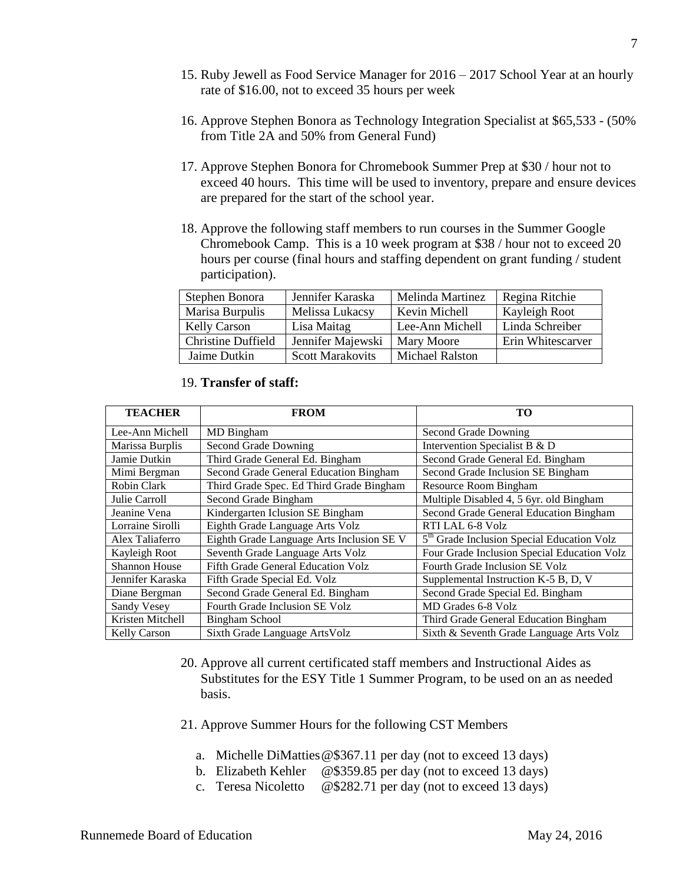- 15. Ruby Jewell as Food Service Manager for 2016 2017 School Year at an hourly rate of \$16.00, not to exceed 35 hours per week
- 16. Approve Stephen Bonora as Technology Integration Specialist at \$65,533 (50% from Title 2A and 50% from General Fund)
- 17. Approve Stephen Bonora for Chromebook Summer Prep at \$30 / hour not to exceed 40 hours. This time will be used to inventory, prepare and ensure devices are prepared for the start of the school year.
- 18. Approve the following staff members to run courses in the Summer Google Chromebook Camp. This is a 10 week program at \$38 / hour not to exceed 20 hours per course (final hours and staffing dependent on grant funding / student participation).

| Stephen Bonora            | Jennifer Karaska        | Melinda Martinez       | Regina Ritchie    |
|---------------------------|-------------------------|------------------------|-------------------|
| Marisa Burpulis           | Melissa Lukacsy         | Kevin Michell          | Kayleigh Root     |
| <b>Kelly Carson</b>       | Lisa Maitag             | Lee-Ann Michell        | Linda Schreiber   |
| <b>Christine Duffield</b> | Jennifer Majewski       | Mary Moore             | Erin Whitescarver |
| Jaime Dutkin              | <b>Scott Marakovits</b> | <b>Michael Ralston</b> |                   |

| <b>TEACHER</b>       | <b>FROM</b>                               | TО                                                     |
|----------------------|-------------------------------------------|--------------------------------------------------------|
| Lee-Ann Michell      | MD Bingham                                | Second Grade Downing                                   |
| Marissa Burplis      | Second Grade Downing                      | Intervention Specialist B & D                          |
| Jamie Dutkin         | Third Grade General Ed. Bingham           | Second Grade General Ed. Bingham                       |
| Mimi Bergman         | Second Grade General Education Bingham    | Second Grade Inclusion SE Bingham                      |
| Robin Clark          | Third Grade Spec. Ed Third Grade Bingham  | Resource Room Bingham                                  |
| Julie Carroll        | Second Grade Bingham                      | Multiple Disabled 4, 5 6yr. old Bingham                |
| Jeanine Vena         | Kindergarten Iclusion SE Bingham          | Second Grade General Education Bingham                 |
| Lorraine Sirolli     | Eighth Grade Language Arts Volz           | RTI LAL 6-8 Volz                                       |
| Alex Taliaferro      | Eighth Grade Language Arts Inclusion SE V | 5 <sup>th</sup> Grade Inclusion Special Education Volz |
| Kayleigh Root        | Seventh Grade Language Arts Volz          | Four Grade Inclusion Special Education Volz            |
| <b>Shannon House</b> | Fifth Grade General Education Volz        | Fourth Grade Inclusion SE Volz                         |
| Jennifer Karaska     | Fifth Grade Special Ed. Volz              | Supplemental Instruction K-5 B, D, V                   |
| Diane Bergman        | Second Grade General Ed. Bingham          | Second Grade Special Ed. Bingham                       |
| Sandy Vesey          | Fourth Grade Inclusion SE Volz            | MD Grades 6-8 Volz                                     |
| Kristen Mitchell     | <b>Bingham School</b>                     | Third Grade General Education Bingham                  |
| Kelly Carson         | Sixth Grade Language ArtsVolz             | Sixth & Seventh Grade Language Arts Volz               |

19. **Transfer of staff:**

- 20. Approve all current certificated staff members and Instructional Aides as Substitutes for the ESY Title 1 Summer Program, to be used on an as needed basis.
- 21. Approve Summer Hours for the following CST Members
	- a. Michelle DiMatties@\$367.11 per day (not to exceed 13 days)
	- b. Elizabeth Kehler @\$359.85 per day (not to exceed 13 days)
	- c. Teresa Nicoletto @\$282.71 per day (not to exceed 13 days)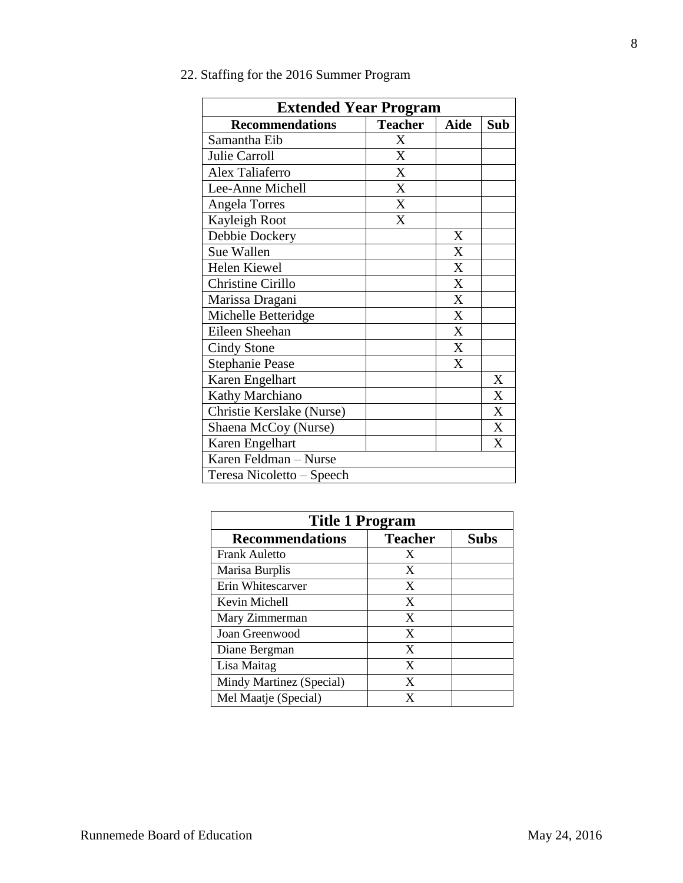| <b>Extended Year Program</b> |                |             |              |
|------------------------------|----------------|-------------|--------------|
| <b>Recommendations</b>       | <b>Teacher</b> | <b>Aide</b> | Sub          |
| Samantha Eib                 | X              |             |              |
| Julie Carroll                | X              |             |              |
| Alex Taliaferro              | X              |             |              |
| Lee-Anne Michell             | X              |             |              |
| <b>Angela Torres</b>         | X              |             |              |
| Kayleigh Root                | X              |             |              |
| Debbie Dockery               |                | X           |              |
| Sue Wallen                   |                | X           |              |
| <b>Helen Kiewel</b>          |                | X           |              |
| Christine Cirillo            |                | X           |              |
| Marissa Dragani              |                | X           |              |
| Michelle Betteridge          |                | X           |              |
| Eileen Sheehan               |                | X           |              |
| Cindy Stone                  |                | X           |              |
| <b>Stephanie Pease</b>       |                | X           |              |
| Karen Engelhart              |                |             | X            |
| Kathy Marchiano              |                |             | X            |
| Christie Kerslake (Nurse)    |                |             | $\mathbf{X}$ |
| Shaena McCoy (Nurse)         |                |             | X            |
| Karen Engelhart              |                |             | X            |
| Karen Feldman - Nurse        |                |             |              |
| Teresa Nicoletto – Speech    |                |             |              |

| <b>Title 1 Program</b>   |                |             |  |
|--------------------------|----------------|-------------|--|
| <b>Recommendations</b>   | <b>Teacher</b> | <b>Subs</b> |  |
| <b>Frank Auletto</b>     | X              |             |  |
| Marisa Burplis           | X              |             |  |
| Erin Whitescarver        | X              |             |  |
| Kevin Michell            | X              |             |  |
| Mary Zimmerman           | X              |             |  |
| Joan Greenwood           | X              |             |  |
| Diane Bergman            | X              |             |  |
| Lisa Maitag              | X              |             |  |
| Mindy Martinez (Special) | X              |             |  |
| Mel Maatje (Special)     |                |             |  |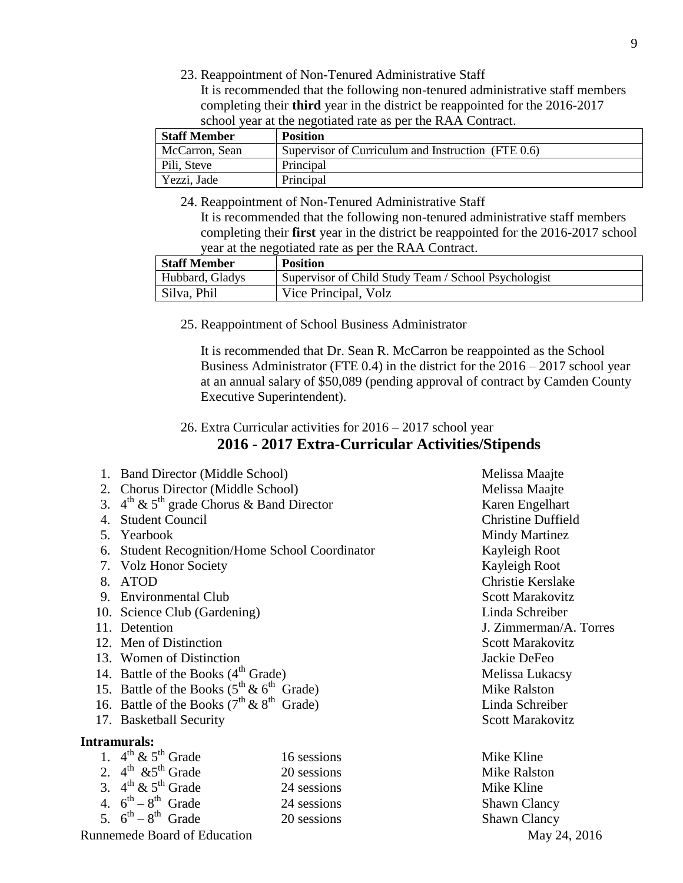23. Reappointment of Non-Tenured Administrative Staff

It is recommended that the following non-tenured administrative staff members completing their **third** year in the district be reappointed for the 2016-2017 school year at the negotiated rate as per the RAA Contract.

| <b>Staff Member</b> | <b>Position</b>                                    |
|---------------------|----------------------------------------------------|
| McCarron, Sean      | Supervisor of Curriculum and Instruction (FTE 0.6) |
| Pili, Steve         | Principal                                          |
| Yezzi, Jade         | Principal                                          |

24. Reappointment of Non-Tenured Administrative Staff It is recommended that the following non-tenured administrative staff members completing their **first** year in the district be reappointed for the 2016-2017 school year at the negotiated rate as per the RAA Contract.

| <b>Staff Member</b> | <b>Position</b>                                      |
|---------------------|------------------------------------------------------|
| Hubbard, Gladys     | Supervisor of Child Study Team / School Psychologist |
| Silva, Phil         | Vice Principal, Volz                                 |

25. Reappointment of School Business Administrator

It is recommended that Dr. Sean R. McCarron be reappointed as the School Business Administrator (FTE 0.4) in the district for the 2016 – 2017 school year at an annual salary of \$50,089 (pending approval of contract by Camden County Executive Superintendent).

## 26. Extra Curricular activities for 2016 – 2017 school year **2016 - 2017 Extra-Curricular Activities/Stipends**

- 1. Band Director (Middle School) Melissa Maajte
- 2. Chorus Director (Middle School) Melissa Maajte
- 3.  $4^{\text{th}}$  &  $5^{\text{th}}$  grade Chorus & Band Director Karen Engelhart
- 4. Student Council Christine Duffield
- 
- 6. Student Recognition/Home School Coordinator Kayleigh Root
- 7. Volz Honor Society **Kayleigh Root**
- 
- 9. Environmental Club Scott Marakovitz
- 10. Science Club (Gardening) Linda Schreiber
- 
- 12. Men of Distinction Scott Marakovitz
- 13. Women of Distinction **Internal Studies 2** ackie DeFeo
- 14. Battle of the Books  $(4<sup>th</sup> Grade)$  Melissa Lukacsy
- 15. Battle of the Books  $(5^{th} \& 6^{th} \text{ Grade})$
- 16. Battle of the Books  $(7^{th} \& 8^{th} \text{ Grade})$
- 17. Basketball Security Scott Marakovitz

#### **Intramurals:**

| 16 sessions                                                                                                                                                                                                    | Mike Kline         |
|----------------------------------------------------------------------------------------------------------------------------------------------------------------------------------------------------------------|--------------------|
| 20 sessions                                                                                                                                                                                                    | <b>Mike Ralsto</b> |
| 24 sessions                                                                                                                                                                                                    | Mike Kline         |
| 24 sessions                                                                                                                                                                                                    | <b>Shawn Clar</b>  |
| 20 sessions                                                                                                                                                                                                    | <b>Shawn Clar</b>  |
| 1. $4^{\text{th}} \& 5^{\text{th}}$ Grade<br>2. $4^{\text{th}}$ & 5 <sup>th</sup> Grade<br>3. $4^{\text{th}} \& 5^{\text{th}}$ Grade<br>4. $6^{th} - 8^{th}$ Grade<br>5. $6^{\text{th}} - 8^{\text{th}}$ Grade |                    |

Runnemede Board of Education May 24, 2016

5. Yearbook Mindy Martinez 8. ATOD Christie Kerslake 11. Detention **J. Zimmerman/A. Torres** Mike Ralston Linda Schreiber

> **Mike Ralston** Mike Kline Shawn Clancy Shawn Clancy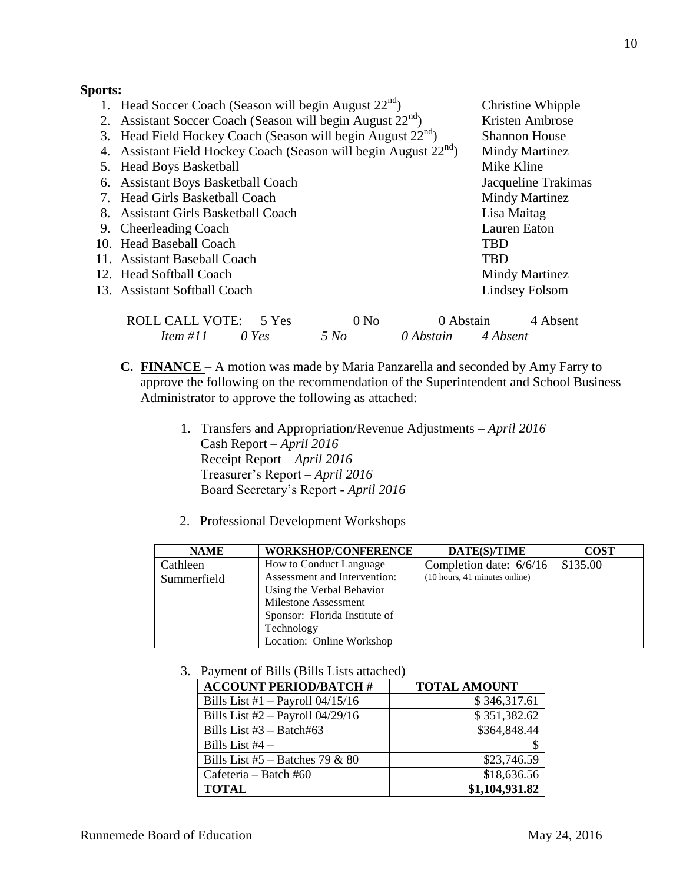### **Sports:**

| 1. Head Soccer Coach (Season will begin August $22^{nd}$ )                   |                  |           |             | Christine Whipple    |
|------------------------------------------------------------------------------|------------------|-----------|-------------|----------------------|
| 2. Assistant Soccer Coach (Season will begin August 22 <sup>nd</sup> )       |                  |           |             | Kristen Ambrose      |
| 3. Head Field Hockey Coach (Season will begin August 22 <sup>nd</sup> )      |                  |           |             | <b>Shannon House</b> |
| 4. Assistant Field Hockey Coach (Season will begin August 22 <sup>nd</sup> ) |                  |           |             | Mindy Martinez       |
| 5. Head Boys Basketball                                                      |                  |           | Mike Kline  |                      |
| 6. Assistant Boys Basketball Coach                                           |                  |           |             | Jacqueline Trakimas  |
| 7. Head Girls Basketball Coach                                               |                  |           |             | Mindy Martinez       |
| 8. Assistant Girls Basketball Coach                                          |                  |           | Lisa Maitag |                      |
| 9. Cheerleading Coach                                                        |                  |           |             | Lauren Eaton         |
| 10. Head Baseball Coach                                                      |                  |           | <b>TBD</b>  |                      |
| 11. Assistant Baseball Coach                                                 |                  |           | <b>TBD</b>  |                      |
| 12. Head Softball Coach                                                      |                  |           |             | Mindy Martinez       |
| 13. Assistant Softball Coach                                                 |                  |           |             | Lindsey Folsom       |
| <b>ROLL CALL VOTE:</b><br>5 Yes                                              | 0 N <sub>0</sub> | 0 Abstain |             | 4 Absent             |
| Item #11<br>$0$ Yes                                                          | 5 No             | 0 Abstain | 4 Absent    |                      |

- **C. FINANCE**  A motion was made by Maria Panzarella and seconded by Amy Farry to approve the following on the recommendation of the Superintendent and School Business Administrator to approve the following as attached:
	- 1. Transfers and Appropriation/Revenue Adjustments *April 2016* Cash Report – *April 2016* Receipt Report – *April 2016* Treasurer's Report – *April 2016* Board Secretary's Report - *April 2016*
	- 2. Professional Development Workshops

| <b>NAME</b> | <b>WORKSHOP/CONFERENCE</b>    | DATE(S)/TIME                                            | <b>COST</b> |
|-------------|-------------------------------|---------------------------------------------------------|-------------|
| Cathleen    | How to Conduct Language       | Completion date: 6/6/16                                 | \$135.00    |
| Summerfield | Assessment and Intervention:  | $(10 \text{ hours}, 41 \text{ minutes} \text{ online})$ |             |
|             | Using the Verbal Behavior     |                                                         |             |
|             | Milestone Assessment          |                                                         |             |
|             | Sponsor: Florida Institute of |                                                         |             |
|             | Technology                    |                                                         |             |
|             | Location: Online Workshop     |                                                         |             |

3. Payment of Bills (Bills Lists attached)

| <b>ACCOUNT PERIOD/BATCH #</b>      | <b>TOTAL AMOUNT</b> |
|------------------------------------|---------------------|
| Bills List #1 $-$ Payroll 04/15/16 | \$346,317.61        |
| Bills List $#2$ – Payroll 04/29/16 | \$351,382.62        |
| Bills List $#3 - \text{Batch#63}$  | \$364,848.44        |
| Bills List $#4 -$                  |                     |
| Bills List #5 – Batches 79 & 80    | \$23,746.59         |
| Cafeteria – Batch #60              | \$18,636.56         |
| <b>TOTAL</b>                       | \$1,104,931.82      |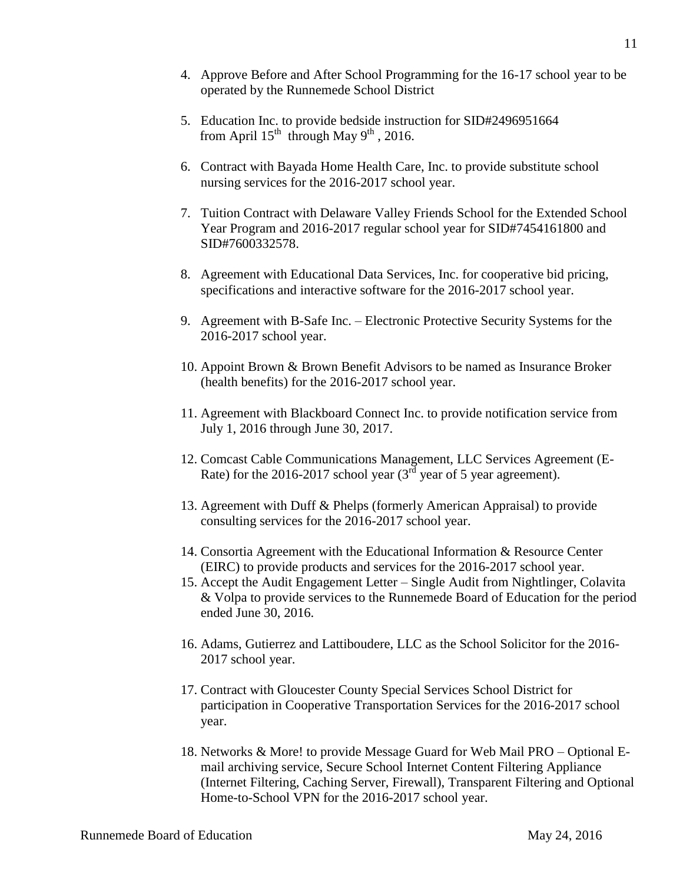- 4. Approve Before and After School Programming for the 16-17 school year to be operated by the Runnemede School District
- 5. Education Inc. to provide bedside instruction for SID#2496951664 from April  $15^{th}$  through May  $9^{th}$ , 2016.
- 6. Contract with Bayada Home Health Care, Inc. to provide substitute school nursing services for the 2016-2017 school year.
- 7. Tuition Contract with Delaware Valley Friends School for the Extended School Year Program and 2016-2017 regular school year for SID#7454161800 and SID#7600332578.
- 8. Agreement with Educational Data Services, Inc. for cooperative bid pricing, specifications and interactive software for the 2016-2017 school year.
- 9. Agreement with B-Safe Inc. Electronic Protective Security Systems for the 2016-2017 school year.
- 10. Appoint Brown & Brown Benefit Advisors to be named as Insurance Broker (health benefits) for the 2016-2017 school year.
- 11. Agreement with Blackboard Connect Inc. to provide notification service from July 1, 2016 through June 30, 2017.
- 12. Comcast Cable Communications Management, LLC Services Agreement (E-Rate) for the 2016-2017 school year  $(3^{rd})$  year of 5 year agreement).
- 13. Agreement with Duff & Phelps (formerly American Appraisal) to provide consulting services for the 2016-2017 school year.
- 14. Consortia Agreement with the Educational Information & Resource Center (EIRC) to provide products and services for the 2016-2017 school year.
- 15. Accept the Audit Engagement Letter Single Audit from Nightlinger, Colavita & Volpa to provide services to the Runnemede Board of Education for the period ended June 30, 2016.
- 16. Adams, Gutierrez and Lattiboudere, LLC as the School Solicitor for the 2016- 2017 school year.
- 17. Contract with Gloucester County Special Services School District for participation in Cooperative Transportation Services for the 2016-2017 school year.
- 18. Networks & More! to provide Message Guard for Web Mail PRO Optional Email archiving service, Secure School Internet Content Filtering Appliance (Internet Filtering, Caching Server, Firewall), Transparent Filtering and Optional Home-to-School VPN for the 2016-2017 school year.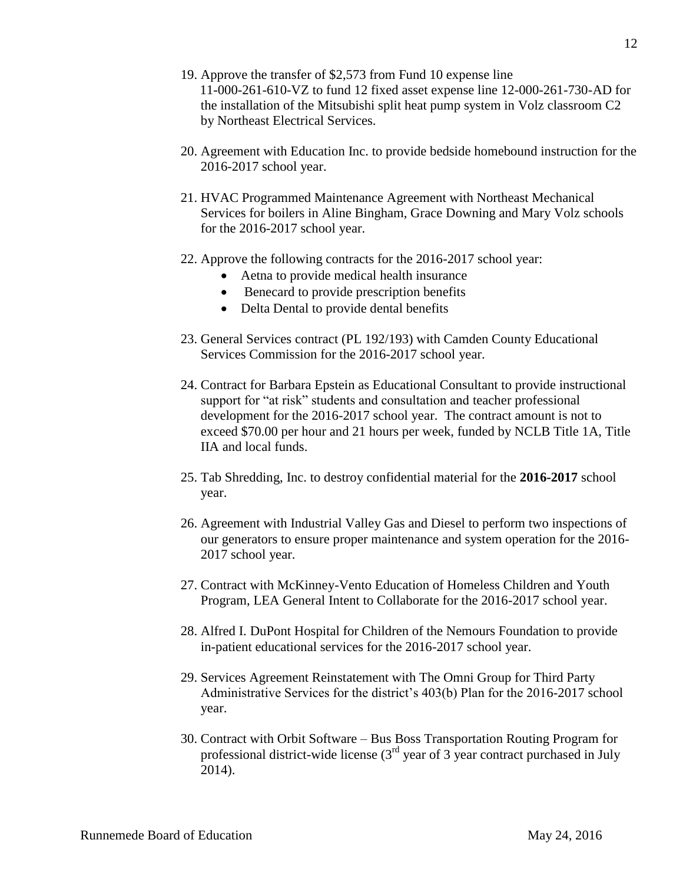- 19. Approve the transfer of \$2,573 from Fund 10 expense line 11-000-261-610-VZ to fund 12 fixed asset expense line 12-000-261-730-AD for the installation of the Mitsubishi split heat pump system in Volz classroom C2 by Northeast Electrical Services.
- 20. Agreement with Education Inc. to provide bedside homebound instruction for the 2016-2017 school year.
- 21. HVAC Programmed Maintenance Agreement with Northeast Mechanical Services for boilers in Aline Bingham, Grace Downing and Mary Volz schools for the 2016-2017 school year.
- 22. Approve the following contracts for the 2016-2017 school year:
	- Aetna to provide medical health insurance
	- Benecard to provide prescription benefits
	- Delta Dental to provide dental benefits
- 23. General Services contract (PL 192/193) with Camden County Educational Services Commission for the 2016-2017 school year.
- 24. Contract for Barbara Epstein as Educational Consultant to provide instructional support for "at risk" students and consultation and teacher professional development for the 2016-2017 school year. The contract amount is not to exceed \$70.00 per hour and 21 hours per week, funded by NCLB Title 1A, Title IIA and local funds.
- 25. Tab Shredding, Inc. to destroy confidential material for the **2016-2017** school year.
- 26. Agreement with Industrial Valley Gas and Diesel to perform two inspections of our generators to ensure proper maintenance and system operation for the 2016- 2017 school year.
- 27. Contract with McKinney-Vento Education of Homeless Children and Youth Program, LEA General Intent to Collaborate for the 2016-2017 school year.
- 28. Alfred I. DuPont Hospital for Children of the Nemours Foundation to provide in-patient educational services for the 2016-2017 school year.
- 29. Services Agreement Reinstatement with The Omni Group for Third Party Administrative Services for the district's 403(b) Plan for the 2016-2017 school year.
- 30. Contract with Orbit Software Bus Boss Transportation Routing Program for professional district-wide license  $(3<sup>rd</sup>$  year of 3 year contract purchased in July 2014).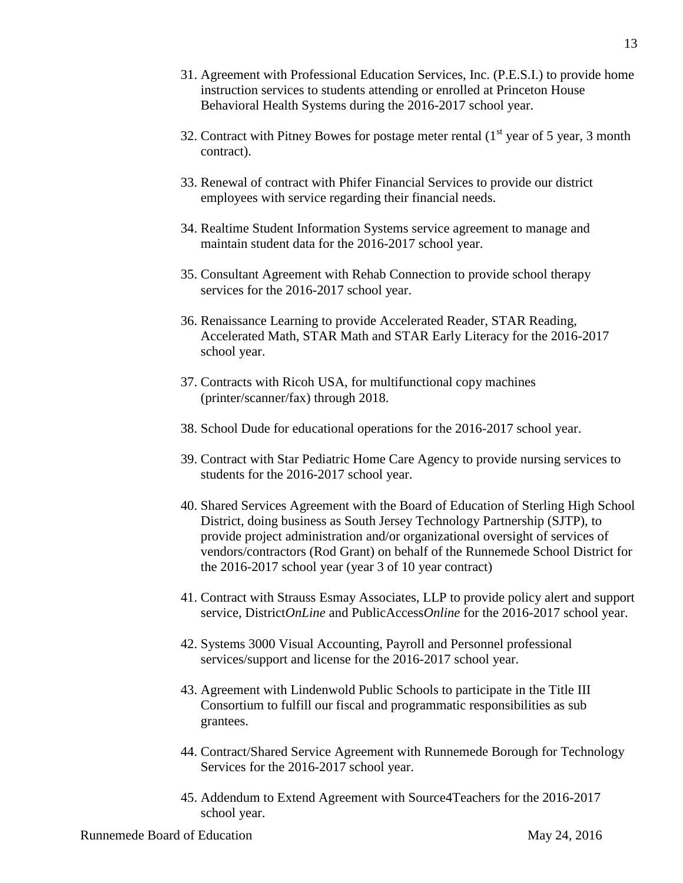- 31. Agreement with Professional Education Services, Inc. (P.E.S.I.) to provide home instruction services to students attending or enrolled at Princeton House Behavioral Health Systems during the 2016-2017 school year.
- 32. Contract with Pitney Bowes for postage meter rental  $(1<sup>st</sup>$  year of 5 year, 3 month contract).
- 33. Renewal of contract with Phifer Financial Services to provide our district employees with service regarding their financial needs.
- 34. Realtime Student Information Systems service agreement to manage and maintain student data for the 2016-2017 school year.
- 35. Consultant Agreement with Rehab Connection to provide school therapy services for the 2016-2017 school year.
- 36. Renaissance Learning to provide Accelerated Reader, STAR Reading, Accelerated Math, STAR Math and STAR Early Literacy for the 2016-2017 school year.
- 37. Contracts with Ricoh USA, for multifunctional copy machines (printer/scanner/fax) through 2018.
- 38. School Dude for educational operations for the 2016-2017 school year.
- 39. Contract with Star Pediatric Home Care Agency to provide nursing services to students for the 2016-2017 school year.
- 40. Shared Services Agreement with the Board of Education of Sterling High School District, doing business as South Jersey Technology Partnership (SJTP), to provide project administration and/or organizational oversight of services of vendors/contractors (Rod Grant) on behalf of the Runnemede School District for the 2016-2017 school year (year 3 of 10 year contract)
- 41. Contract with Strauss Esmay Associates, LLP to provide policy alert and support service, District*OnLine* and PublicAccess*Online* for the 2016-2017 school year.
- 42. Systems 3000 Visual Accounting, Payroll and Personnel professional services/support and license for the 2016-2017 school year.
- 43. Agreement with Lindenwold Public Schools to participate in the Title III Consortium to fulfill our fiscal and programmatic responsibilities as sub grantees.
- 44. Contract/Shared Service Agreement with Runnemede Borough for Technology Services for the 2016-2017 school year.
- 45. Addendum to Extend Agreement with Source4Teachers for the 2016-2017 school year.